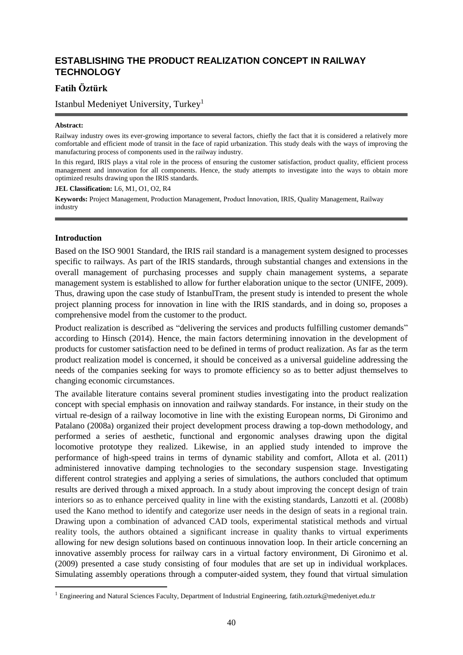# **ESTABLISHING THE PRODUCT REALIZATION CONCEPT IN RAILWAY TECHNOLOGY**

# **Fatih Öztürk**

Istanbul Medeniyet University, Turkey<sup>1</sup>

#### **Abstract:**

Railway industry owes its ever-growing importance to several factors, chiefly the fact that it is considered a relatively more comfortable and efficient mode of transit in the face of rapid urbanization. This study deals with the ways of improving the manufacturing process of components used in the railway industry.

In this regard, IRIS plays a vital role in the process of ensuring the customer satisfaction, product quality, efficient process management and innovation for all components. Hence, the study attempts to investigate into the ways to obtain more optimized results drawing upon the IRIS standards.

**JEL Classification:** L6, M1, O1, O2, R4

**Keywords:** Project Management, Production Management[, Product İnnovation,](https://en.wikipedia.org/wiki/Product_innovation) IRIS, Quality Management, Railway industry

#### **Introduction**

1

Based on the ISO 9001 Standard, the IRIS rail standard is a management system designed to processes specific to railways. As part of the IRIS standards, through substantial changes and extensions in the overall management of purchasing processes and supply chain management systems, a separate management system is established to allow for further elaboration unique to the sector (UNIFE, 2009). Thus, drawing upon the case study of IstanbulTram, the present study is intended to present the whole project planning process for innovation in line with the IRIS standards, and in doing so, proposes a comprehensive model from the customer to the product.

Product realization is described as "delivering the services and products fulfilling customer demands" according to Hinsch (2014). Hence, the main factors determining innovation in the development of products for customer satisfaction need to be defined in terms of product realization. As far as the term product realization model is concerned, it should be conceived as a universal guideline addressing the needs of the companies seeking for ways to promote efficiency so as to better adjust themselves to changing economic circumstances.

The available literature contains several prominent studies investigating into the product realization concept with special emphasis on innovation and railway standards. For instance, in their study on the virtual re-design of a railway locomotive in line with the existing European norms, Di Gironimo and Patalano (2008a) organized their project development process drawing a top-down methodology, and performed a series of aesthetic, functional and ergonomic analyses drawing upon the digital locomotive prototype they realized. Likewise, in an applied study intended to improve the performance of high-speed trains in terms of dynamic stability and comfort, Allota et al. (2011) administered innovative damping technologies to the secondary suspension stage. Investigating different control strategies and applying a series of simulations, the authors concluded that optimum results are derived through a mixed approach. In a study about improving the concept design of train interiors so as to enhance perceived quality in line with the existing standards, Lanzotti et al. (2008b) used the Kano method to identify and categorize user needs in the design of seats in a regional train. Drawing upon a combination of advanced CAD tools, experimental statistical methods and virtual reality tools, the authors obtained a significant increase in quality thanks to virtual experiments allowing for new design solutions based on continuous innovation loop. In their article concerning an innovative assembly process for railway cars in a virtual factory environment, Di Gironimo et al. (2009) presented a case study consisting of four modules that are set up in individual workplaces. Simulating assembly operations through a computer-aided system, they found that virtual simulation

<sup>&</sup>lt;sup>1</sup> Engineering and Natural Sciences Faculty, Department of Industrial Engineering, fatih.ozturk@medeniyet.edu.tr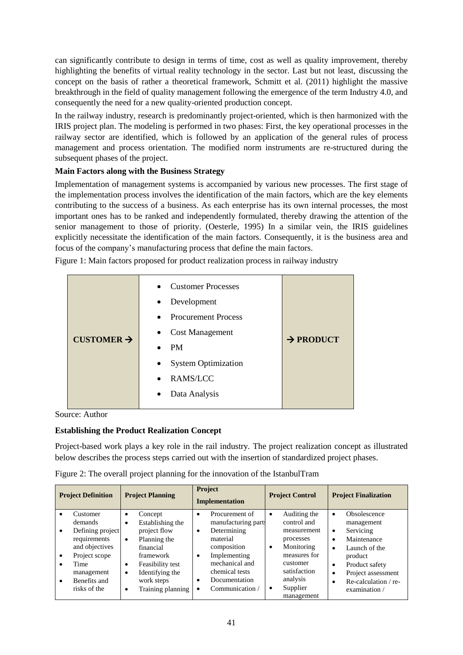can significantly contribute to design in terms of time, cost as well as quality improvement, thereby highlighting the benefits of virtual reality technology in the sector. Last but not least, discussing the concept on the basis of rather a theoretical framework, Schmitt et al. (2011) highlight the massive breakthrough in the field of quality management following the emergence of the term Industry 4.0, and consequently the need for a new quality-oriented production concept.

In the railway industry, research is predominantly project-oriented, which is then harmonized with the IRIS project plan. The modeling is performed in two phases: First, the key operational processes in the railway sector are identified, which is followed by an application of the general rules of process management and process orientation. The modified norm instruments are re-structured during the subsequent phases of the project.

# **Main Factors along with the Business Strategy**

Implementation of management systems is accompanied by various new processes. The first stage of the implementation process involves the identification of the main factors, which are the key elements contributing to the success of a business. As each enterprise has its own internal processes, the most important ones has to be ranked and independently formulated, thereby drawing the attention of the senior management to those of priority. (Oesterle, 1995) In a similar vein, the IRIS guidelines explicitly necessitate the identification of the main factors. Consequently, it is the business area and focus of the company's manufacturing process that define the main factors.

Figure 1: Main factors proposed for product realization process in railway industry

| CUSTOMER $\rightarrow$ | <b>Customer Processes</b><br>$\bullet$<br>Development<br>$\bullet$<br><b>Procurement Process</b><br>$\bullet$<br><b>Cost Management</b><br>$\bullet$<br><b>PM</b><br><b>System Optimization</b><br>$\bullet$<br>RAMS/LCC<br>$\bullet$<br>Data Analysis<br>٠ | $\rightarrow$ PRODUCT |
|------------------------|-------------------------------------------------------------------------------------------------------------------------------------------------------------------------------------------------------------------------------------------------------------|-----------------------|
|------------------------|-------------------------------------------------------------------------------------------------------------------------------------------------------------------------------------------------------------------------------------------------------------|-----------------------|

Source: Author

### **Establishing the Product Realization Concept**

Project-based work plays a key role in the rail industry. The project realization concept as illustrated below describes the process steps carried out with the insertion of standardized project phases.

| <b>Project Definition</b>             |                                                                                                                                                  | <b>Project Planning</b>                                                                                                                                                                                                               |                                     | Project<br><b>Implementation</b>                                                                                                                                        |                                     | <b>Project Control</b>                                                                                                                                  |                                                 | <b>Project Finalization</b>                                                                                                                                           |  |
|---------------------------------------|--------------------------------------------------------------------------------------------------------------------------------------------------|---------------------------------------------------------------------------------------------------------------------------------------------------------------------------------------------------------------------------------------|-------------------------------------|-------------------------------------------------------------------------------------------------------------------------------------------------------------------------|-------------------------------------|---------------------------------------------------------------------------------------------------------------------------------------------------------|-------------------------------------------------|-----------------------------------------------------------------------------------------------------------------------------------------------------------------------|--|
| ٠<br>$\bullet$<br>$\bullet$<br>٠<br>٠ | Customer<br>demands<br>Defining project<br>requirements<br>and objectives<br>Project scope<br>Time<br>management<br>Benefits and<br>risks of the | Concept<br>$\bullet$<br>Establishing the<br>$\bullet$<br>project flow<br>Planning the<br>$\bullet$<br>financial<br>framework<br>Feasibility test<br>٠<br>Identifying the<br>$\bullet$<br>work steps<br>Training planning<br>$\bullet$ | $\bullet$<br>$\bullet$<br>$\bullet$ | Procurement of<br>manufacturing part.<br>Determining<br>material<br>composition<br>Implementing<br>mechanical and<br>chemical tests<br>Documentation<br>Communication / | $\bullet$<br>$\bullet$<br>$\bullet$ | Auditing the<br>control and<br>measurement<br>processes<br>Monitoring<br>measures for<br>customer<br>satisfaction<br>analysis<br>Supplier<br>management | ٠<br>٠<br>٠<br>$\bullet$<br>$\bullet$<br>٠<br>٠ | Obsolescence<br>management<br>Servicing<br>Maintenance<br>Launch of the<br>product<br>Product safety<br>Project assessment<br>Re-calculation $/$ re-<br>examination / |  |

Figure 2: The overall project planning for the innovation of the IstanbulTram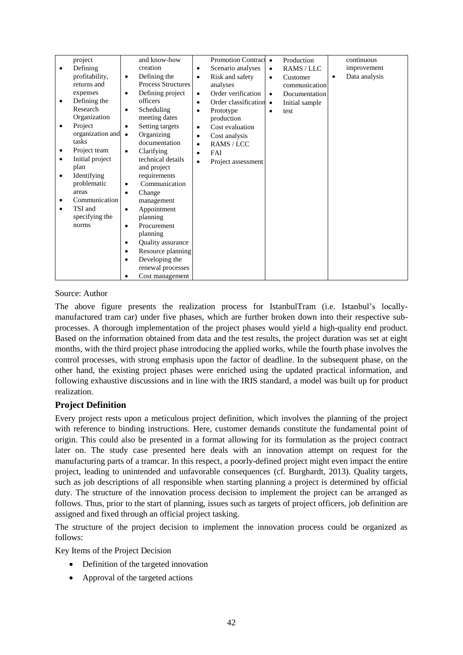|           | project          | and know-how                          |           | <b>Promotion Contract</b> | $\bullet$ | Production     |           | continuous    |
|-----------|------------------|---------------------------------------|-----------|---------------------------|-----------|----------------|-----------|---------------|
| $\bullet$ | Defining         | creation                              | $\bullet$ | Scenario analyses         | $\bullet$ | RAMS / LLC     |           | improvement   |
|           | profitability,   | Defining the<br>$\bullet$             | $\bullet$ | Risk and safety           | $\bullet$ | Customer       | $\bullet$ | Data analysis |
|           | returns and      | <b>Process Structures</b>             |           | analyses                  |           | communication  |           |               |
|           | expenses         | Defining project<br>$\bullet$         | $\bullet$ | Order verification        | $\bullet$ | Documentation  |           |               |
|           | Defining the     | officers                              | $\bullet$ | Order classification •    |           | Initial sample |           |               |
|           | Research         | Scheduling<br>$\bullet$               | $\bullet$ | Prototype                 | $\bullet$ | test           |           |               |
|           | Organization     | meeting dates                         |           | production                |           |                |           |               |
| ٠         | Project          | Setting targets<br>$\bullet$          | $\bullet$ | Cost evaluation           |           |                |           |               |
|           | organization and | Organizing<br>$\bullet$               | $\bullet$ | Cost analysis             |           |                |           |               |
|           | tasks            | documentation                         | $\bullet$ | RAMS / LCC                |           |                |           |               |
| ٠         | Project team     | Clarifying<br>$\bullet$               | $\bullet$ | FAI                       |           |                |           |               |
|           | Initial project  | technical details                     | $\bullet$ | Project assessment        |           |                |           |               |
|           | plan             | and project                           |           |                           |           |                |           |               |
| $\bullet$ | Identifying      | requirements                          |           |                           |           |                |           |               |
|           | problematic      | Communication<br>$\bullet$            |           |                           |           |                |           |               |
|           | areas            | Change<br>$\bullet$                   |           |                           |           |                |           |               |
|           | Communication    | management                            |           |                           |           |                |           |               |
| $\bullet$ | TSI and          | Appointment<br>$\bullet$              |           |                           |           |                |           |               |
|           | specifying the   | planning                              |           |                           |           |                |           |               |
|           | norms            | Procurement<br>$\bullet$              |           |                           |           |                |           |               |
|           |                  | planning                              |           |                           |           |                |           |               |
|           |                  | <b>Quality assurance</b><br>$\bullet$ |           |                           |           |                |           |               |
|           |                  | Resource planning<br>$\bullet$        |           |                           |           |                |           |               |
|           |                  | Developing the                        |           |                           |           |                |           |               |
|           |                  | renewal processes                     |           |                           |           |                |           |               |
|           |                  | Cost management<br>٠                  |           |                           |           |                |           |               |

### Source: Author

The above figure presents the realization process for IstanbulTram (i.e. Istanbul's locallymanufactured tram car) under five phases, which are further broken down into their respective subprocesses. A thorough implementation of the project phases would yield a high-quality end product. Based on the information obtained from data and the test results, the project duration was set at eight months, with the third project phase introducing the applied works, while the fourth phase involves the control processes, with strong emphasis upon the factor of deadline. In the subsequent phase, on the other hand, the existing project phases were enriched using the updated practical information, and following exhaustive discussions and in line with the IRIS standard, a model was built up for product realization.

### **Project Definition**

Every project rests upon a meticulous project definition, which involves the planning of the project with reference to binding instructions. Here, customer demands constitute the fundamental point of origin. This could also be presented in a format allowing for its formulation as the project contract later on. The study case presented here deals with an innovation attempt on request for the manufacturing parts of a tramcar. In this respect, a poorly-defined project might even impact the entire project, leading to unintended and unfavorable consequences (cf. Burghardt, 2013). Quality targets, such as job descriptions of all responsible when starting planning a project is determined by official duty. The structure of the innovation process decision to implement the project can be arranged as follows. Thus, prior to the start of planning, issues such as targets of project officers, job definition are assigned and fixed through an official project tasking.

The structure of the project decision to implement the innovation process could be organized as follows:

Key Items of the Project Decision

- Definition of the targeted innovation
- Approval of the targeted actions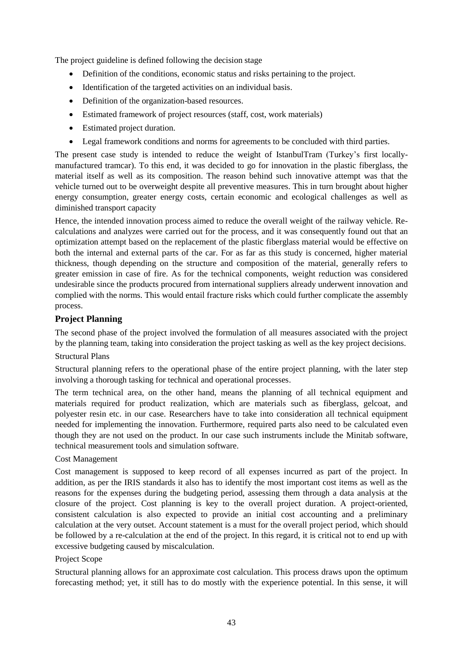The project guideline is defined following the decision stage

- Definition of the conditions, economic status and risks pertaining to the project.
- Identification of the targeted activities on an individual basis.
- Definition of the organization-based resources.
- Estimated framework of project resources (staff, cost, work materials)
- Estimated project duration.
- Legal framework conditions and norms for agreements to be concluded with third parties.

The present case study is intended to reduce the weight of IstanbulTram (Turkey's first locallymanufactured tramcar). To this end, it was decided to go for innovation in the plastic fiberglass, the material itself as well as its composition. The reason behind such innovative attempt was that the vehicle turned out to be overweight despite all preventive measures. This in turn brought about higher energy consumption, greater energy costs, certain economic and ecological challenges as well as diminished transport capacity

Hence, the intended innovation process aimed to reduce the overall weight of the railway vehicle. Recalculations and analyzes were carried out for the process, and it was consequently found out that an optimization attempt based on the replacement of the plastic fiberglass material would be effective on both the internal and external parts of the car. For as far as this study is concerned, higher material thickness, though depending on the structure and composition of the material, generally refers to greater emission in case of fire. As for the technical components, weight reduction was considered undesirable since the products procured from international suppliers already underwent innovation and complied with the norms. This would entail fracture risks which could further complicate the assembly process.

### **Project Planning**

The second phase of the project involved the formulation of all measures associated with the project by the planning team, taking into consideration the project tasking as well as the key project decisions.

# Structural Plans

Structural planning refers to the operational phase of the entire project planning, with the later step involving a thorough tasking for technical and operational processes.

The term technical area, on the other hand, means the planning of all technical equipment and materials required for product realization, which are materials such as fiberglass, gelcoat, and polyester resin etc. in our case. Researchers have to take into consideration all technical equipment needed for implementing the innovation. Furthermore, required parts also need to be calculated even though they are not used on the product. In our case such instruments include the Minitab software, technical measurement tools and simulation software.

#### Cost Management

Cost management is supposed to keep record of all expenses incurred as part of the project. In addition, as per the IRIS standards it also has to identify the most important cost items as well as the reasons for the expenses during the budgeting period, assessing them through a data analysis at the closure of the project. Cost planning is key to the overall project duration. A project-oriented, consistent calculation is also expected to provide an initial cost accounting and a preliminary calculation at the very outset. Account statement is a must for the overall project period, which should be followed by a re-calculation at the end of the project. In this regard, it is critical not to end up with excessive budgeting caused by miscalculation.

#### Project Scope

Structural planning allows for an approximate cost calculation. This process draws upon the optimum forecasting method; yet, it still has to do mostly with the experience potential. In this sense, it will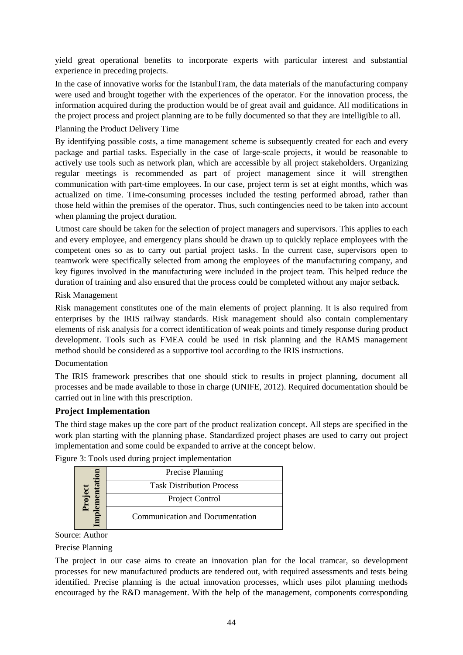yield great operational benefits to incorporate experts with particular interest and substantial experience in preceding projects.

In the case of innovative works for the IstanbulTram, the data materials of the manufacturing company were used and brought together with the experiences of the operator. For the innovation process, the information acquired during the production would be of great avail and guidance. All modifications in the project process and project planning are to be fully documented so that they are intelligible to all.

### Planning the Product Delivery Time

By identifying possible costs, a time management scheme is subsequently created for each and every package and partial tasks. Especially in the case of large-scale projects, it would be reasonable to actively use tools such as network plan, which are accessible by all project stakeholders. Organizing regular meetings is recommended as part of project management since it will strengthen communication with part-time employees. In our case, project term is set at eight months, which was actualized on time. Time-consuming processes included the testing performed abroad, rather than those held within the premises of the operator. Thus, such contingencies need to be taken into account when planning the project duration.

Utmost care should be taken for the selection of project managers and supervisors. This applies to each and every employee, and emergency plans should be drawn up to quickly replace employees with the competent ones so as to carry out partial project tasks. In the current case, supervisors open to teamwork were specifically selected from among the employees of the manufacturing company, and key figures involved in the manufacturing were included in the project team. This helped reduce the duration of training and also ensured that the process could be completed without any major setback.

#### Risk Management

Risk management constitutes one of the main elements of project planning. It is also required from enterprises by the IRIS railway standards. Risk management should also contain complementary elements of risk analysis for a correct identification of weak points and timely response during product development. Tools such as FMEA could be used in risk planning and the RAMS management method should be considered as a supportive tool according to the IRIS instructions.

#### Documentation

The IRIS framework prescribes that one should stick to results in project planning, document all processes and be made available to those in charge (UNIFE, 2012). Required documentation should be carried out in line with this prescription.

### **Project Implementation**

The third stage makes up the core part of the product realization concept. All steps are specified in the work plan starting with the planning phase. Standardized project phases are used to carry out project implementation and some could be expanded to arrive at the concept below.

|  |                                  | Precise Planning |
|--|----------------------------------|------------------|
|  | <b>Task Distribution Process</b> |                  |
|  | Project Control                  |                  |
|  | Communication and Documentation  |                  |

Figure 3: Tools used during project implementation

#### Source: Author

#### Precise Planning

The project in our case aims to create an innovation plan for the local tramcar, so development processes for new manufactured products are tendered out, with required assessments and tests being identified. Precise planning is the actual innovation processes, which uses pilot planning methods encouraged by the R&D management. With the help of the management, components corresponding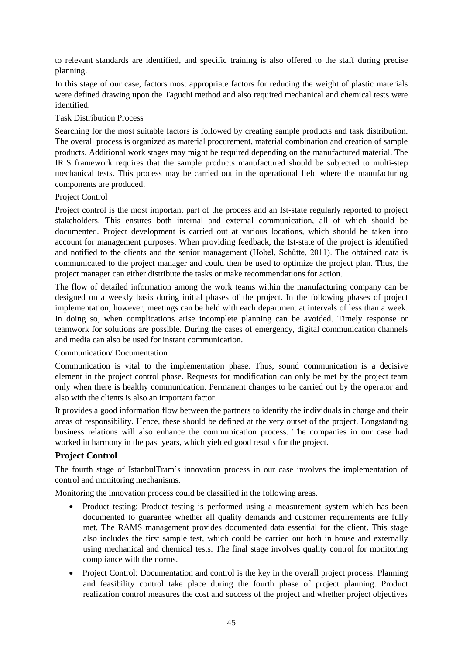to relevant standards are identified, and specific training is also offered to the staff during precise planning.

In this stage of our case, factors most appropriate factors for reducing the weight of plastic materials were defined drawing upon the Taguchi method and also required mechanical and chemical tests were identified.

### Task Distribution Process

Searching for the most suitable factors is followed by creating sample products and task distribution. The overall process is organized as material procurement, material combination and creation of sample products. Additional work stages may might be required depending on the manufactured material. The IRIS framework requires that the sample products manufactured should be subjected to multi-step mechanical tests. This process may be carried out in the operational field where the manufacturing components are produced.

### Project Control

Project control is the most important part of the process and an Ist-state regularly reported to project stakeholders. This ensures both internal and external communication, all of which should be documented. Project development is carried out at various locations, which should be taken into account for management purposes. When providing feedback, the Ist-state of the project is identified and notified to the clients and the senior management (Hobel, Schütte, 2011). The obtained data is communicated to the project manager and could then be used to optimize the project plan. Thus, the project manager can either distribute the tasks or make recommendations for action.

The flow of detailed information among the work teams within the manufacturing company can be designed on a weekly basis during initial phases of the project. In the following phases of project implementation, however, meetings can be held with each department at intervals of less than a week. In doing so, when complications arise incomplete planning can be avoided. Timely response or teamwork for solutions are possible. During the cases of emergency, digital communication channels and media can also be used for instant communication.

### Communication/ Documentation

Communication is vital to the implementation phase. Thus, sound communication is a decisive element in the project control phase. Requests for modification can only be met by the project team only when there is healthy communication. Permanent changes to be carried out by the operator and also with the clients is also an important factor.

It provides a good information flow between the partners to identify the individuals in charge and their areas of responsibility. Hence, these should be defined at the very outset of the project. Longstanding business relations will also enhance the communication process. The companies in our case had worked in harmony in the past years, which yielded good results for the project.

### **Project Control**

The fourth stage of IstanbulTram's innovation process in our case involves the implementation of control and monitoring mechanisms.

Monitoring the innovation process could be classified in the following areas.

- Product testing: Product testing is performed using a measurement system which has been documented to guarantee whether all quality demands and customer requirements are fully met. The RAMS management provides documented data essential for the client. This stage also includes the first sample test, which could be carried out both in house and externally using mechanical and chemical tests. The final stage involves quality control for monitoring compliance with the norms.
- Project Control: Documentation and control is the key in the overall project process. Planning and feasibility control take place during the fourth phase of project planning. Product realization control measures the cost and success of the project and whether project objectives